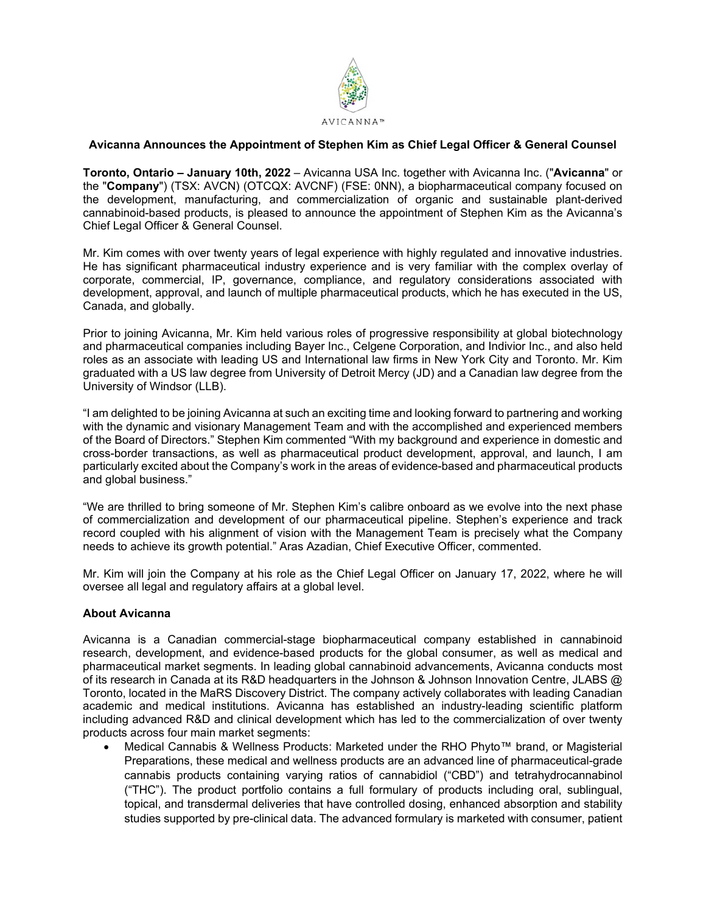

## **Avicanna Announces the Appointment of Stephen Kim as Chief Legal Officer & General Counsel**

**Toronto, Ontario – January 10th, 2022** – Avicanna USA Inc. together with Avicanna Inc. ("**Avicanna**" or the "**Company**") (TSX: AVCN) (OTCQX: AVCNF) (FSE: 0NN), a biopharmaceutical company focused on the development, manufacturing, and commercialization of organic and sustainable plant-derived cannabinoid-based products, is pleased to announce the appointment of Stephen Kim as the Avicanna's Chief Legal Officer & General Counsel.

Mr. Kim comes with over twenty years of legal experience with highly regulated and innovative industries. He has significant pharmaceutical industry experience and is very familiar with the complex overlay of corporate, commercial, IP, governance, compliance, and regulatory considerations associated with development, approval, and launch of multiple pharmaceutical products, which he has executed in the US, Canada, and globally.

Prior to joining Avicanna, Mr. Kim held various roles of progressive responsibility at global biotechnology and pharmaceutical companies including Bayer Inc., Celgene Corporation, and Indivior Inc., and also held roles as an associate with leading US and International law firms in New York City and Toronto. Mr. Kim graduated with a US law degree from University of Detroit Mercy (JD) and a Canadian law degree from the University of Windsor (LLB).

"I am delighted to be joining Avicanna at such an exciting time and looking forward to partnering and working with the dynamic and visionary Management Team and with the accomplished and experienced members of the Board of Directors." Stephen Kim commented "With my background and experience in domestic and cross-border transactions, as well as pharmaceutical product development, approval, and launch, I am particularly excited about the Company's work in the areas of evidence-based and pharmaceutical products and global business."

"We are thrilled to bring someone of Mr. Stephen Kim's calibre onboard as we evolve into the next phase of commercialization and development of our pharmaceutical pipeline. Stephen's experience and track record coupled with his alignment of vision with the Management Team is precisely what the Company needs to achieve its growth potential." Aras Azadian, Chief Executive Officer, commented.

Mr. Kim will join the Company at his role as the Chief Legal Officer on January 17, 2022, where he will oversee all legal and regulatory affairs at a global level.

## **About Avicanna**

Avicanna is a Canadian commercial-stage biopharmaceutical company established in cannabinoid research, development, and evidence-based products for the global consumer, as well as medical and pharmaceutical market segments. In leading global cannabinoid advancements, Avicanna conducts most of its research in Canada at its R&D headquarters in the Johnson & Johnson Innovation Centre, JLABS @ Toronto, located in the MaRS Discovery District. The company actively collaborates with leading Canadian academic and medical institutions. Avicanna has established an industry-leading scientific platform including advanced R&D and clinical development which has led to the commercialization of over twenty products across four main market segments:

• Medical Cannabis & Wellness Products: Marketed under the RHO Phyto™ brand, or Magisterial Preparations, these medical and wellness products are an advanced line of pharmaceutical-grade cannabis products containing varying ratios of cannabidiol ("CBD") and tetrahydrocannabinol ("THC"). The product portfolio contains a full formulary of products including oral, sublingual, topical, and transdermal deliveries that have controlled dosing, enhanced absorption and stability studies supported by pre-clinical data. The advanced formulary is marketed with consumer, patient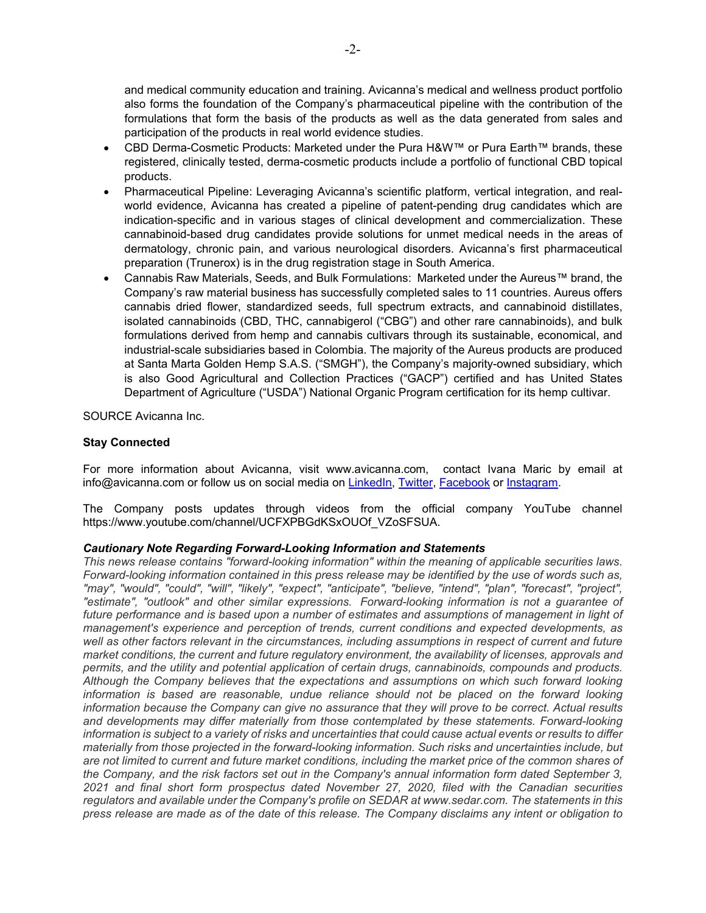and medical community education and training. Avicanna's medical and wellness product portfolio also forms the foundation of the Company's pharmaceutical pipeline with the contribution of the formulations that form the basis of the products as well as the data generated from sales and participation of the products in real world evidence studies.

- CBD Derma-Cosmetic Products: Marketed under the Pura H&W™ or Pura Earth™ brands, these registered, clinically tested, derma-cosmetic products include a portfolio of functional CBD topical products.
- Pharmaceutical Pipeline: Leveraging Avicanna's scientific platform, vertical integration, and realworld evidence, Avicanna has created a pipeline of patent-pending drug candidates which are indication-specific and in various stages of clinical development and commercialization. These cannabinoid-based drug candidates provide solutions for unmet medical needs in the areas of dermatology, chronic pain, and various neurological disorders. Avicanna's first pharmaceutical preparation (Trunerox) is in the drug registration stage in South America.
- Cannabis Raw Materials, Seeds, and Bulk Formulations: Marketed under the Aureus™ brand, the Company's raw material business has successfully completed sales to 11 countries. Aureus offers cannabis dried flower, standardized seeds, full spectrum extracts, and cannabinoid distillates, isolated cannabinoids (CBD, THC, cannabigerol ("CBG") and other rare cannabinoids), and bulk formulations derived from hemp and cannabis cultivars through its sustainable, economical, and industrial-scale subsidiaries based in Colombia. The majority of the Aureus products are produced at Santa Marta Golden Hemp S.A.S. ("SMGH"), the Company's majority-owned subsidiary, which is also Good Agricultural and Collection Practices ("GACP") certified and has United States Department of Agriculture ("USDA") National Organic Program certification for its hemp cultivar.

SOURCE Avicanna Inc.

## **Stay Connected**

For more information about Avicanna, visit [www.avicanna.com,](http://www.avicanna.com/) contact Ivana Maric by email at [info@avicanna.com](mailto:info@avicanna.com) or follow us on social media on [LinkedIn,](https://www.linkedin.com/company/avicanna/mycompany/?viewAsMember=true) [Twitter,](https://twitter.com/AvicannaInc) [Facebook](https://www.facebook.com/avicannainc) or [Instagram.](https://www.instagram.com/avicannainc/)

The Company posts updates through videos from the official company YouTube channel [https://www.youtube.com/channel/UCFXPBGdKSxOUOf\\_VZoSFSUA.](https://www.youtube.com/channel/UCFXPBGdKSxOUOf_VZoSFSUA)

## *Cautionary Note Regarding Forward-Looking Information and Statements*

*This news release contains "forward-looking information" within the meaning of applicable securities laws. Forward-looking information contained in this press release may be identified by the use of words such as, "may", "would", "could", "will", "likely", "expect", "anticipate", "believe, "intend", "plan", "forecast", "project", "estimate", "outlook" and other similar expressions. Forward-looking information is not a guarantee of future performance and is based upon a number of estimates and assumptions of management in light of management's experience and perception of trends, current conditions and expected developments, as well as other factors relevant in the circumstances, including assumptions in respect of current and future market conditions, the current and future regulatory environment, the availability of licenses, approvals and permits, and the utility and potential application of certain drugs, cannabinoids, compounds and products. Although the Company believes that the expectations and assumptions on which such forward looking information is based are reasonable, undue reliance should not be placed on the forward looking information because the Company can give no assurance that they will prove to be correct. Actual results and developments may differ materially from those contemplated by these statements. Forward-looking information is subject to a variety of risks and uncertainties that could cause actual events or results to differ materially from those projected in the forward-looking information. Such risks and uncertainties include, but are not limited to current and future market conditions, including the market price of the common shares of the Company, and the risk factors set out in the Company's annual information form dated September 3, 2021 and final short form prospectus dated November 27, 2020, filed with the Canadian securities regulators and available under the Company's profile on SEDAR at www.sedar.com. The statements in this press release are made as of the date of this release. The Company disclaims any intent or obligation to*